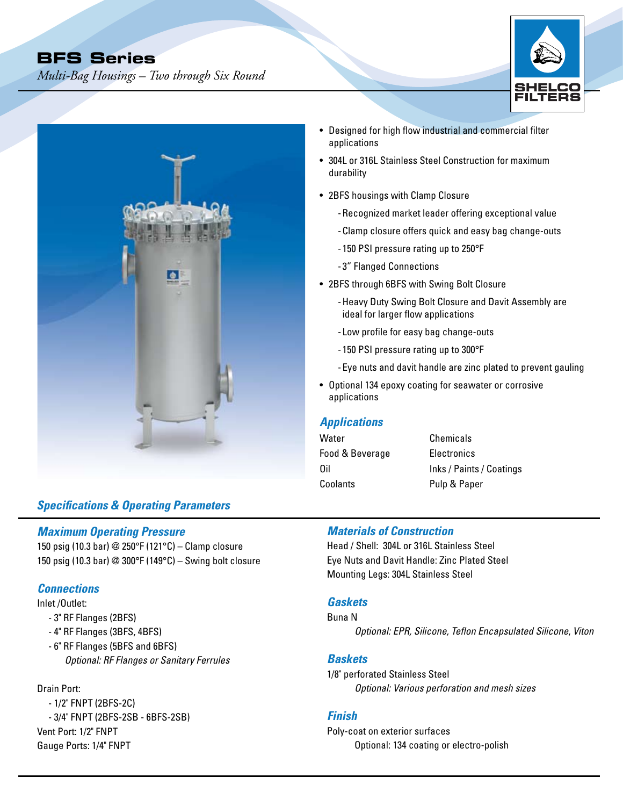*Multi-Bag Housings – Two through Six Round* 





# *Specifications & Operating Parameters*

#### *Maximum Operating Pressure*

150 psig (10.3 bar) @ 250°F (121°C) – Clamp closure 150 psig (10.3 bar) @ 300°F (149°C) – Swing bolt closure

### *Connections*

Inlet /Outlet:

- 3" RF Flanges (2BFS)
- 4" RF Flanges (3BFS, 4BFS)
- 6" RF Flanges (5BFS and 6BFS) *Optional: RF Flanges or Sanitary Ferrules*

### Drain Port:

- 1/2" FNPT (2BFS-2C) - 3/4" FNPT (2BFS-2SB - 6BFS-2SB) Vent Port: 1/2" FNPT Gauge Ports: 1/4" FNPT

- Designed for high flow industrial and commercial filter applications
- 304L or 316L Stainless Steel Construction for maximum durability
- 2BFS housings with Clamp Closure
	- -Recognized market leader offering exceptional value
	- -Clamp closure offers quick and easy bag change-outs
	- 150 PSI pressure rating up to 250°F
	- 3" Flanged Connections
- 2BFS through 6BFS with Swing Bolt Closure
	- -Heavy Duty Swing Bolt Closure and Davit Assembly are ideal for larger flow applications
	- Low profile for easy bag change-outs
	- 150 PSI pressure rating up to 300°F
	- -Eye nuts and davit handle are zinc plated to prevent gauling
- Optional 134 epoxy coating for seawater or corrosive applications

## *Applications*

| Water           | Chemicals                |
|-----------------|--------------------------|
| Food & Beverage | Electronics              |
| 0il             | Inks / Paints / Coatings |
| Coolants        | Pulp & Paper             |

## *Materials of Construction*

Head / Shell: 304L or 316L Stainless Steel Eye Nuts and Davit Handle: Zinc Plated Steel Mounting Legs: 304L Stainless Steel

#### *Gaskets*

Buna N

*Optional: EPR, Silicone, Teflon Encapsulated Silicone*, *Viton*

#### *Baskets*

1/8" perforated Stainless Steel *Optional: Various perforation and mesh sizes*

#### *Finish*

Poly-coat on exterior surfaces Optional: 134 coating or electro-polish